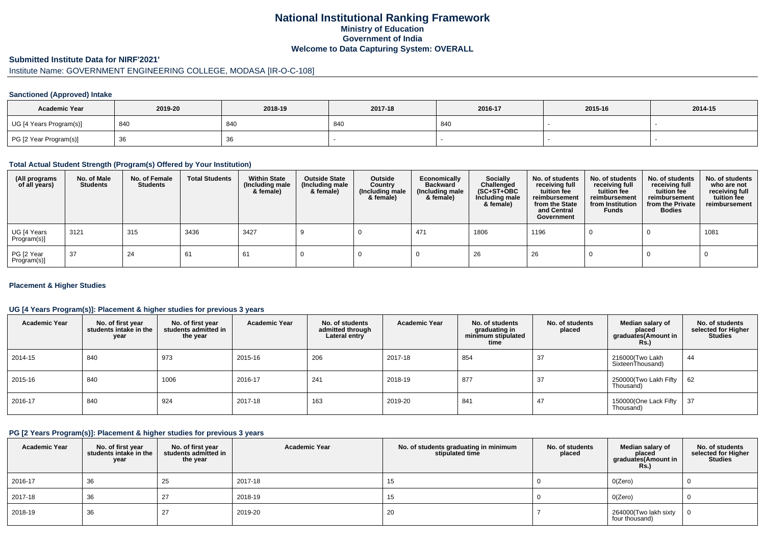# **National Institutional Ranking FrameworkMinistry of Education Government of IndiaWelcome to Data Capturing System: OVERALL**

# **Submitted Institute Data for NIRF'2021'**

# Institute Name: GOVERNMENT ENGINEERING COLLEGE, MODASA [IR-O-C-108]

## **Sanctioned (Approved) Intake**

| <b>Academic Year</b>    | 2019-20 | 2018-19 | 2017-18 | 2016-17 | 2015-16 | 2014-15 |
|-------------------------|---------|---------|---------|---------|---------|---------|
| UG [4 Years Program(s)] | 840     | 840     | 840     | 840     |         |         |
| PG [2 Year Program(s)]  | ັບບ     | 36      |         |         |         |         |

## **Total Actual Student Strength (Program(s) Offered by Your Institution)**

| (All programs<br>of all years) | No. of Male<br><b>Students</b> | No. of Female<br>Students | <b>Total Students</b> | <b>Within State</b><br>(Including male<br>& female) | <b>Outside State</b><br>(Including male<br>& female) | Outside<br>Country<br>(Including male<br>& female) | Economically<br><b>Backward</b><br>(Including male<br>& female) | <b>Socially</b><br>Challenged<br>$(SC+ST+OBC)$<br>Including male<br>& female) | No. of students<br>receiving full<br>tuition fee<br>reimbursement<br>from the State<br>and Central<br>Government | No. of students<br>receiving full<br>tuition fee<br>reimbursement<br>from Institution<br><b>Funds</b> | No. of students<br>receiving full<br>tuition fee<br>reimbursement<br>from the Private<br><b>Bodies</b> | No. of students<br>who are not<br>receiving full<br>tuition fee<br>reimbursement |
|--------------------------------|--------------------------------|---------------------------|-----------------------|-----------------------------------------------------|------------------------------------------------------|----------------------------------------------------|-----------------------------------------------------------------|-------------------------------------------------------------------------------|------------------------------------------------------------------------------------------------------------------|-------------------------------------------------------------------------------------------------------|--------------------------------------------------------------------------------------------------------|----------------------------------------------------------------------------------|
| UG [4 Years<br>Program(s)]     | 3121                           | 315                       | 3436                  | 3427                                                |                                                      |                                                    | 471                                                             | 1806                                                                          | 1196                                                                                                             |                                                                                                       |                                                                                                        | 1081                                                                             |
| PG [2 Year<br>Program(s)]      | 37                             | 24                        | 61                    | 61                                                  |                                                      |                                                    |                                                                 | 26                                                                            | 26                                                                                                               |                                                                                                       |                                                                                                        |                                                                                  |

## **Placement & Higher Studies**

## **UG [4 Years Program(s)]: Placement & higher studies for previous 3 years**

| <b>Academic Year</b> | No. of first year<br>students intake in the<br>year | No. of first vear<br>students admitted in<br>the year | <b>Academic Year</b> | No. of students<br>admitted through<br>Lateral entry | <b>Academic Year</b> | No. of students<br>graduating in<br>minimum stipulated<br>time | No. of students<br>placed | Median salary of<br>placed<br>graduates(Amount in<br>Rs.) | No. of students<br>selected for Higher<br><b>Studies</b> |
|----------------------|-----------------------------------------------------|-------------------------------------------------------|----------------------|------------------------------------------------------|----------------------|----------------------------------------------------------------|---------------------------|-----------------------------------------------------------|----------------------------------------------------------|
| 2014-15              | 840                                                 | 973                                                   | 2015-16              | 206                                                  | 2017-18              | 854                                                            | 37                        | 216000 (Two Lakh<br>SixteenThousand)                      | 44                                                       |
| 2015-16              | 840                                                 | 1006                                                  | 2016-17              | 241                                                  | 2018-19              | 877                                                            | 37                        | 250000(Two Lakh Fifty<br>Thousand)                        | 62                                                       |
| 2016-17              | 840                                                 | 924                                                   | 2017-18              | 163                                                  | 2019-20              | 841                                                            | 47                        | 150000(One Lack Fifty<br>Thousand)                        | 37                                                       |

## **PG [2 Years Program(s)]: Placement & higher studies for previous 3 years**

| <b>Academic Year</b> | No. of first year<br>students intake in the<br>year | No. of first vear<br>students admitted in<br>the year | <b>Academic Year</b> | No. of students graduating in minimum<br>stipulated time | No. of students<br>placed | Median salary of<br>placed<br>graduates(Amount in<br><b>Rs.)</b> | No. of students<br>selected for Higher<br><b>Studies</b> |
|----------------------|-----------------------------------------------------|-------------------------------------------------------|----------------------|----------------------------------------------------------|---------------------------|------------------------------------------------------------------|----------------------------------------------------------|
| 2016-17              | 36                                                  | 25                                                    | 2017-18              | 15                                                       |                           | O(Zero)                                                          |                                                          |
| 2017-18              | 36                                                  | 27                                                    | 2018-19              | 15                                                       |                           | O(Zero)                                                          |                                                          |
| 2018-19              | 36                                                  | 27                                                    | 2019-20              | 20                                                       |                           | 264000(Two lakh sixty<br>four thousand)                          |                                                          |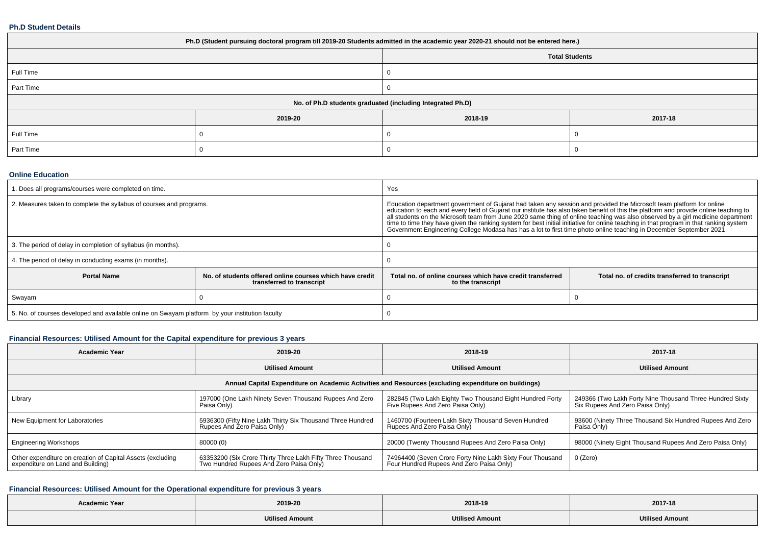#### **Ph.D Student Details**

| Ph.D (Student pursuing doctoral program till 2019-20 Students admitted in the academic year 2020-21 should not be entered here.) |         |                       |         |  |  |  |
|----------------------------------------------------------------------------------------------------------------------------------|---------|-----------------------|---------|--|--|--|
|                                                                                                                                  |         | <b>Total Students</b> |         |  |  |  |
| Full Time                                                                                                                        |         |                       |         |  |  |  |
| Part Time                                                                                                                        |         |                       |         |  |  |  |
| No. of Ph.D students graduated (including Integrated Ph.D)                                                                       |         |                       |         |  |  |  |
|                                                                                                                                  | 2019-20 | 2018-19               | 2017-18 |  |  |  |
| Full Time                                                                                                                        |         |                       |         |  |  |  |
| Part Time                                                                                                                        |         |                       |         |  |  |  |

#### **Online Education**

| 1. Does all programs/courses were completed on time.                                            |                                                                                       | Yes                                                                                                                                                                                                                                                                                                                                                                                                                                                                                                                                                                                                                                                              |  |  |
|-------------------------------------------------------------------------------------------------|---------------------------------------------------------------------------------------|------------------------------------------------------------------------------------------------------------------------------------------------------------------------------------------------------------------------------------------------------------------------------------------------------------------------------------------------------------------------------------------------------------------------------------------------------------------------------------------------------------------------------------------------------------------------------------------------------------------------------------------------------------------|--|--|
| 2. Measures taken to complete the syllabus of courses and programs.                             |                                                                                       | Education department government of Gujarat had taken any session and provided the Microsoft team platform for online<br>education to each and every field of Gujarat our institute has also taken benefit of this the platform and provide online teaching to<br>all students on the Microsoft team from June 2020 same thing of online teaching was also observed by a girl medicine department<br>time to time they have given the ranking system for best initial initiative for online teaching in that program in that ranking system<br>Government Engineering College Modasa has has a lot to first time photo online teaching in December September 2021 |  |  |
| 3. The period of delay in completion of syllabus (in months).                                   |                                                                                       |                                                                                                                                                                                                                                                                                                                                                                                                                                                                                                                                                                                                                                                                  |  |  |
| 4. The period of delay in conducting exams (in months).                                         |                                                                                       |                                                                                                                                                                                                                                                                                                                                                                                                                                                                                                                                                                                                                                                                  |  |  |
| <b>Portal Name</b>                                                                              | No. of students offered online courses which have credit<br>transferred to transcript | Total no, of online courses which have credit transferred<br>Total no. of credits transferred to transcript<br>to the transcript                                                                                                                                                                                                                                                                                                                                                                                                                                                                                                                                 |  |  |
| Swayam                                                                                          |                                                                                       |                                                                                                                                                                                                                                                                                                                                                                                                                                                                                                                                                                                                                                                                  |  |  |
| 5. No. of courses developed and available online on Swayam platform by your institution faculty |                                                                                       |                                                                                                                                                                                                                                                                                                                                                                                                                                                                                                                                                                                                                                                                  |  |  |

# **Financial Resources: Utilised Amount for the Capital expenditure for previous 3 years**

| <b>Academic Year</b>                                                                                 | 2019-20                                                                                               | 2018-19                                                                                               | 2017-18                                                                                     |  |  |  |  |  |
|------------------------------------------------------------------------------------------------------|-------------------------------------------------------------------------------------------------------|-------------------------------------------------------------------------------------------------------|---------------------------------------------------------------------------------------------|--|--|--|--|--|
|                                                                                                      | <b>Utilised Amount</b>                                                                                | <b>Utilised Amount</b>                                                                                | <b>Utilised Amount</b>                                                                      |  |  |  |  |  |
| Annual Capital Expenditure on Academic Activities and Resources (excluding expenditure on buildings) |                                                                                                       |                                                                                                       |                                                                                             |  |  |  |  |  |
| Library                                                                                              | 197000 (One Lakh Ninety Seven Thousand Rupees And Zero<br>Paisa Only)                                 | 282845 (Two Lakh Eighty Two Thousand Eight Hundred Forty<br>Five Rupees And Zero Paisa Only)          | 249366 (Two Lakh Forty Nine Thousand Three Hundred Sixty<br>Six Rupees And Zero Paisa Only) |  |  |  |  |  |
| New Equipment for Laboratories                                                                       | 5936300 (Fifty Nine Lakh Thirty Six Thousand Three Hundred<br>Rupees And Zero Paisa Only)             | 1460700 (Fourteen Lakh Sixty Thousand Seven Hundred<br>Rupees And Zero Paisa Only)                    | 93600 (Ninety Three Thousand Six Hundred Rupees And Zero<br>Paisa Only)                     |  |  |  |  |  |
| <b>Engineering Workshops</b>                                                                         | 80000 (0)                                                                                             | 20000 (Twenty Thousand Rupees And Zero Paisa Only)                                                    | 98000 (Ninety Eight Thousand Rupees And Zero Paisa Only)                                    |  |  |  |  |  |
| Other expenditure on creation of Capital Assets (excluding<br>expenditure on Land and Building)      | 63353200 (Six Crore Thirty Three Lakh Fifty Three Thousand<br>Two Hundred Rupees And Zero Paisa Only) | 74964400 (Seven Crore Forty Nine Lakh Sixty Four Thousand<br>Four Hundred Rupees And Zero Paisa Only) | 0 (Zero)                                                                                    |  |  |  |  |  |

# **Financial Resources: Utilised Amount for the Operational expenditure for previous 3 years**

| <b>Academic Year</b><br>2019-20 |                        | 2018-19                | 2017-18                |  |
|---------------------------------|------------------------|------------------------|------------------------|--|
|                                 | <b>Utilised Amount</b> | <b>Utilised Amount</b> | <b>Utilised Amount</b> |  |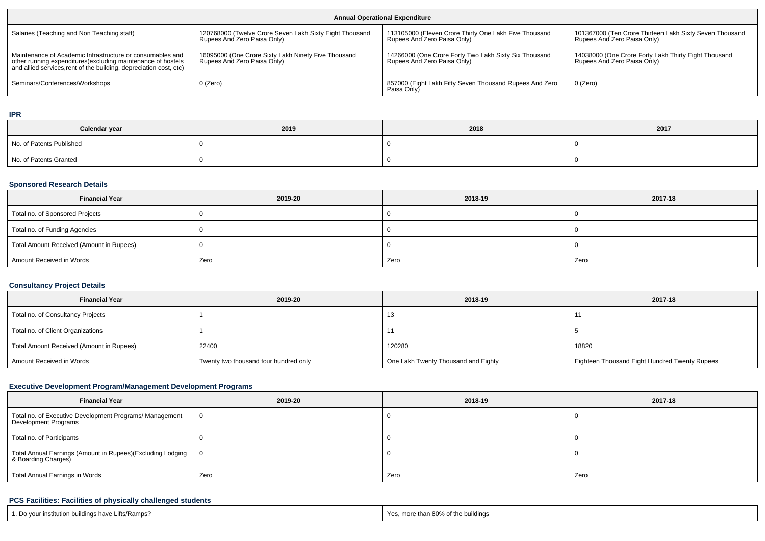| <b>Annual Operational Expenditure</b>                                                                                                                                                           |                                                                                        |                                                                                      |                                                                                        |  |  |  |  |
|-------------------------------------------------------------------------------------------------------------------------------------------------------------------------------------------------|----------------------------------------------------------------------------------------|--------------------------------------------------------------------------------------|----------------------------------------------------------------------------------------|--|--|--|--|
| Salaries (Teaching and Non Teaching staff)                                                                                                                                                      | 120768000 (Twelve Crore Seven Lakh Sixty Eight Thousand<br>Rupees And Zero Paisa Only) | 113105000 (Eleven Crore Thirty One Lakh Five Thousand<br>Rupees And Zero Paisa Only) | 101367000 (Ten Crore Thirteen Lakh Sixty Seven Thousand<br>Rupees And Zero Paisa Only) |  |  |  |  |
| Maintenance of Academic Infrastructure or consumables and<br>other running expenditures (excluding maintenance of hostels<br>and allied services, rent of the building, depreciation cost, etc) | 16095000 (One Crore Sixty Lakh Ninety Five Thousand<br>Rupees And Zero Paisa Only)     | 14266000 (One Crore Forty Two Lakh Sixty Six Thousand<br>Rupees And Zero Paisa Only) | 14038000 (One Crore Forty Lakh Thirty Eight Thousand<br>Rupees And Zero Paisa Only)    |  |  |  |  |
| Seminars/Conferences/Workshops                                                                                                                                                                  | 0 (Zero)                                                                               | 857000 (Eight Lakh Fifty Seven Thousand Rupees And Zero<br>Paisa Only)               | 0 (Zero)                                                                               |  |  |  |  |

**IPR**

| Calendar year            | 2019 | 2018 | 2017 |
|--------------------------|------|------|------|
| No. of Patents Published |      |      |      |
| No. of Patents Granted   |      |      |      |

## **Sponsored Research Details**

| <b>Financial Year</b>                    | 2019-20 | 2018-19 | 2017-18 |
|------------------------------------------|---------|---------|---------|
| Total no. of Sponsored Projects          |         |         |         |
| Total no. of Funding Agencies            |         |         |         |
| Total Amount Received (Amount in Rupees) |         |         |         |
| Amount Received in Words                 | Zero    | Zero    | Zero    |

## **Consultancy Project Details**

| <b>Financial Year</b>                    | 2019-20                               | 2018-19                             | 2017-18                                       |
|------------------------------------------|---------------------------------------|-------------------------------------|-----------------------------------------------|
| Total no. of Consultancy Projects        |                                       | כ ו                                 |                                               |
| Total no. of Client Organizations        |                                       |                                     |                                               |
| Total Amount Received (Amount in Rupees) | 22400                                 | 120280                              | 18820                                         |
| Amount Received in Words                 | Twenty two thousand four hundred only | One Lakh Twenty Thousand and Eighty | Eighteen Thousand Eight Hundred Twenty Rupees |

# **Executive Development Program/Management Development Programs**

| <b>Financial Year</b>                                                             | 2019-20 | 2018-19 | 2017-18 |
|-----------------------------------------------------------------------------------|---------|---------|---------|
| Total no. of Executive Development Programs/ Management<br>Development Programs   | - 0     |         |         |
| Total no. of Participants                                                         |         |         |         |
| Total Annual Earnings (Amount in Rupees)(Excluding Lodging<br>& Boarding Charges) | - 0     |         |         |
| Total Annual Earnings in Words                                                    | Zero    | Zero    | Zero    |

## **PCS Facilities: Facilities of physically challenged students**

| '. Do vour institution buildings have Lifts/Ramps? | . more than 80% of the buildings |
|----------------------------------------------------|----------------------------------|
|                                                    | Yes                              |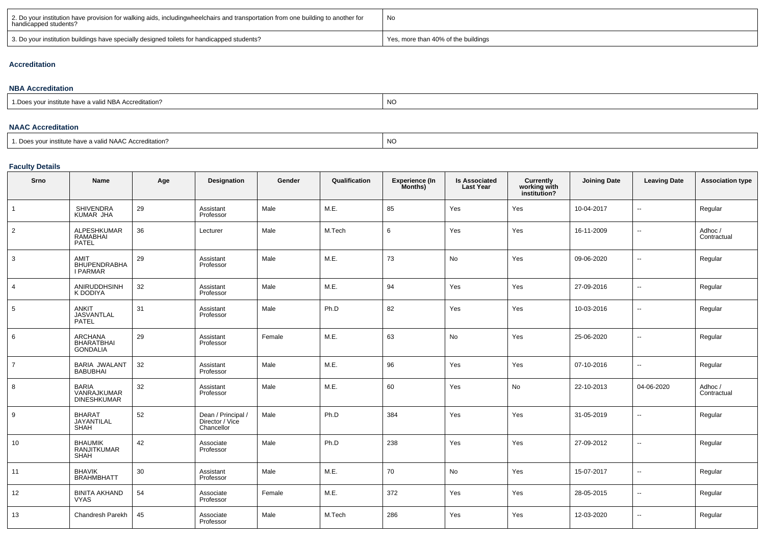| 2. Do your institution have provision for walking aids, includingwheelchairs and transportation from one building to another for<br>handicapped students? | No                                  |
|-----------------------------------------------------------------------------------------------------------------------------------------------------------|-------------------------------------|
| 3. Do your institution buildings have specially designed toilets for handicapped students?                                                                | Yes, more than 40% of the buildings |

#### **Accreditation**

| <b>NBA Accreditation</b>                                    |           |  |  |  |  |  |  |  |  |  |
|-------------------------------------------------------------|-----------|--|--|--|--|--|--|--|--|--|
| "" institute have a valid NBA Accreditation?<br>1 Does vour | <b>NO</b> |  |  |  |  |  |  |  |  |  |
|                                                             |           |  |  |  |  |  |  |  |  |  |

### **NAAC Accreditation**

| 1. Does vour institute have a valid NAAC Accreditation? |  | <b>NO</b> |  |  |
|---------------------------------------------------------|--|-----------|--|--|
|---------------------------------------------------------|--|-----------|--|--|

# **Faculty Details**

| Srno           | Name                                                | Age | <b>Designation</b>                                  | Gender | Qualification | <b>Experience (In</b><br>Months) | <b>Is Associated</b><br><b>Last Year</b> | Currently<br>working with<br>institution? | <b>Joining Date</b> | <b>Leaving Date</b>      | <b>Association type</b> |
|----------------|-----------------------------------------------------|-----|-----------------------------------------------------|--------|---------------|----------------------------------|------------------------------------------|-------------------------------------------|---------------------|--------------------------|-------------------------|
| $\mathbf{1}$   | SHIVENDRA<br>KUMAR JHA                              | 29  | Assistant<br>Professor                              | Male   | M.E.          | 85                               | Yes                                      | Yes                                       | 10-04-2017          | $\overline{\phantom{a}}$ | Regular                 |
| $\overline{2}$ | ALPESHKUMAR<br>RAMABHAI<br>PATEL                    | 36  | Lecturer                                            | Male   | M.Tech        | 6                                | Yes                                      | Yes                                       | 16-11-2009          | $\overline{\phantom{a}}$ | Adhoc /<br>Contractual  |
| 3              | AMIT<br>BHUPENDRABHA<br>I PARMAR                    | 29  | Assistant<br>Professor                              | Male   | M.E.          | 73                               | No                                       | Yes                                       | 09-06-2020          | $\sim$                   | Regular                 |
| $\overline{4}$ | ANIRUDDHSINH<br>K DODIYA                            | 32  | Assistant<br>Professor                              | Male   | M.E.          | 94                               | Yes                                      | Yes                                       | 27-09-2016          | $\sim$                   | Regular                 |
| 5              | <b>ANKIT</b><br><b>JASVANTLAL</b><br>PATEL          | 31  | Assistant<br>Professor                              | Male   | Ph.D          | 82                               | Yes                                      | Yes                                       | 10-03-2016          | $\sim$                   | Regular                 |
| 6              | ARCHANA<br><b>BHARATBHAI</b><br><b>GONDALIA</b>     | 29  | Assistant<br>Professor                              | Female | M.E.          | 63                               | No                                       | Yes                                       | 25-06-2020          | $\overline{\phantom{a}}$ | Regular                 |
| $\overline{7}$ | <b>BARIA JWALANT</b><br><b>BABUBHAI</b>             | 32  | Assistant<br>Professor                              | Male   | M.E.          | 96                               | Yes                                      | Yes                                       | 07-10-2016          | $\overline{\phantom{a}}$ | Regular                 |
| 8              | <b>BARIA</b><br>VANRAJKUMAR<br>DINESHKUMAR          | 32  | Assistant<br>Professor                              | Male   | M.E.          | 60                               | Yes                                      | No                                        | 22-10-2013          | 04-06-2020               | Adhoc/<br>Contractual   |
| 9              | <b>BHARAT</b><br>JAYANTILAL<br>SHAH                 | 52  | Dean / Principal /<br>Director / Vice<br>Chancellor | Male   | Ph.D          | 384                              | Yes                                      | Yes                                       | 31-05-2019          | $\sim$                   | Regular                 |
| 10             | <b>BHAUMIK</b><br><b>RANJITKUMAR</b><br><b>SHAH</b> | 42  | Associate<br>Professor                              | Male   | Ph.D          | 238                              | Yes                                      | Yes                                       | 27-09-2012          | $\sim$                   | Regular                 |
| 11             | BHAVIK<br>BRAHMBHATT                                | 30  | Assistant<br>Professor                              | Male   | M.E.          | 70                               | No                                       | Yes                                       | 15-07-2017          | $\overline{\phantom{a}}$ | Regular                 |
| 12             | BINITA AKHAND<br>VYAS                               | 54  | Associate<br>Professor                              | Female | M.E.          | 372                              | Yes                                      | Yes                                       | 28-05-2015          | $\sim$                   | Regular                 |
| 13             | Chandresh Parekh                                    | 45  | Associate<br>Professor                              | Male   | M.Tech        | 286                              | Yes                                      | Yes                                       | 12-03-2020          | Ξ.                       | Regular                 |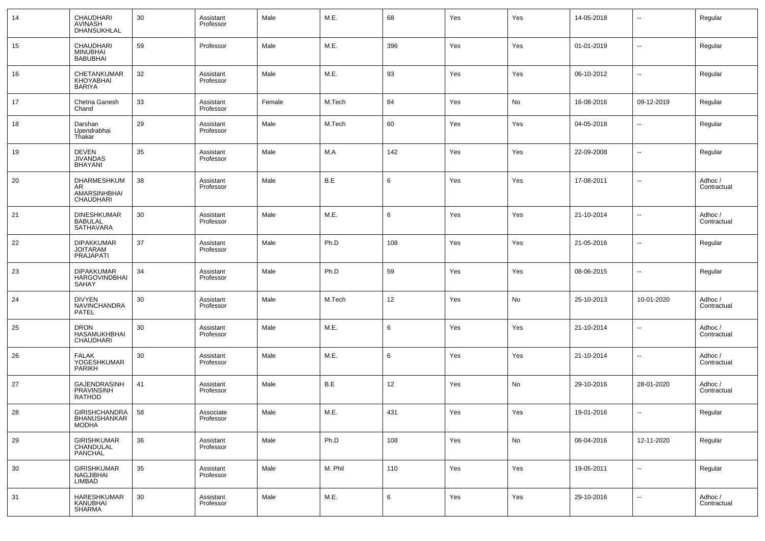| 14 | CHAUDHARI<br>AVINASH<br>DHANSUKHLAL                      | 30 | Assistant<br>Professor | Male   | M.E.    | 68  | Yes | Yes | 14-05-2018 | --         | Regular                |
|----|----------------------------------------------------------|----|------------------------|--------|---------|-----|-----|-----|------------|------------|------------------------|
| 15 | CHAUDHARI<br><b>MINUBHAI</b><br><b>BABUBHAI</b>          | 59 | Professor              | Male   | M.E.    | 396 | Yes | Yes | 01-01-2019 | ш,         | Regular                |
| 16 | CHETANKUMAR<br>KHOYABHAI<br><b>BARIYA</b>                | 32 | Assistant<br>Professor | Male   | M.E.    | 93  | Yes | Yes | 06-10-2012 | --         | Regular                |
| 17 | Chetna Ganesh<br>Chand                                   | 33 | Assistant<br>Professor | Female | M.Tech  | 84  | Yes | No  | 16-08-2016 | 09-12-2019 | Regular                |
| 18 | Darshan<br>Upendrabhai<br>Thakar                         | 29 | Assistant<br>Professor | Male   | M.Tech  | 60  | Yes | Yes | 04-05-2018 | --         | Regular                |
| 19 | <b>DEVEN</b><br><b>JIVANDAS</b><br><b>BHAYANI</b>        | 35 | Assistant<br>Professor | Male   | M.A     | 142 | Yes | Yes | 22-09-2008 | --         | Regular                |
| 20 | DHARMESHKUM<br>AR<br>AMARSINHBHAI<br>CHAUDHARI           | 38 | Assistant<br>Professor | Male   | B.E     | 6   | Yes | Yes | 17-08-2011 | --         | Adhoc /<br>Contractual |
| 21 | <b>DINESHKUMAR</b><br><b>BABULAL</b><br><b>SATHAVARA</b> | 30 | Assistant<br>Professor | Male   | M.E.    | 6   | Yes | Yes | 21-10-2014 | --         | Adhoc /<br>Contractual |
| 22 | <b>DIPAKKUMAR</b><br>JOITARAM<br>PRAJAPATI               | 37 | Assistant<br>Professor | Male   | Ph.D    | 108 | Yes | Yes | 21-05-2016 | --         | Regular                |
| 23 | <b>DIPAKKUMAR</b><br><b>HARGOVINDBHAI</b><br>SAHAY       | 34 | Assistant<br>Professor | Male   | Ph.D    | 59  | Yes | Yes | 08-06-2015 | --         | Regular                |
| 24 | <b>DIVYEN</b><br>NAVINCHANDRA<br>PATEL                   | 30 | Assistant<br>Professor | Male   | M.Tech  | 12  | Yes | No  | 25-10-2013 | 10-01-2020 | Adhoc /<br>Contractual |
| 25 | <b>DRON</b><br>HASAMUKHBHAI<br>CHAUDHARI                 | 30 | Assistant<br>Professor | Male   | M.E.    | 6   | Yes | Yes | 21-10-2014 | --         | Adhoc /<br>Contractual |
| 26 | <b>FALAK</b><br>YOGESHKUMAR<br>PARIKH                    | 30 | Assistant<br>Professor | Male   | M.E.    | 6   | Yes | Yes | 21-10-2014 | --         | Adhoc /<br>Contractual |
| 27 | <b>GAJENDRASINH</b><br>PRAVINSINH<br>RATHOD              | 41 | Assistant<br>Professor | Male   | B.E     | 12  | Yes | No  | 29-10-2016 | 28-01-2020 | Adhoc /<br>Contractual |
| 28 | GIRISHCHANDRA<br><b>BHANUSHANKAR</b><br>MODHA            | 58 | Associate<br>Professor | Male   | M.E.    | 431 | Yes | Yes | 19-01-2016 | --         | Regular                |
| 29 | <b>GIRISHKUMAR</b><br>CHANDULAL<br>PANCHAL               | 36 | Assistant<br>Professor | Male   | Ph.D    | 108 | Yes | No  | 06-04-2016 | 12-11-2020 | Regular                |
| 30 | <b>GIRISHKUMAR</b><br>NAGJIBHAI<br>LIMBAD                | 35 | Assistant<br>Professor | Male   | M. Phil | 110 | Yes | Yes | 19-05-2011 | $\sim$     | Regular                |
| 31 | HARESHKUMAR<br>KANUBHAI<br>SHARMA                        | 30 | Assistant<br>Professor | Male   | M.E.    | 6   | Yes | Yes | 29-10-2016 | --         | Adhoc /<br>Contractual |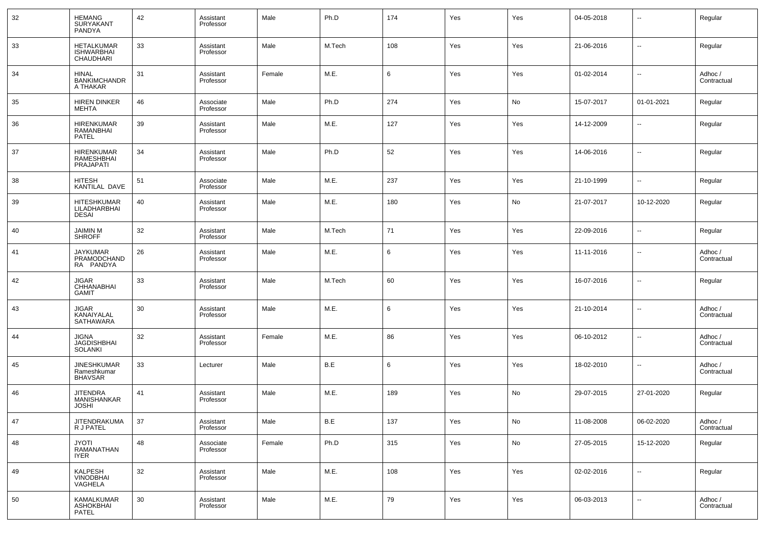| 32     | <b>HEMANG</b><br><b>SURYAKANT</b><br>PANDYA                | 42 | Assistant<br>Professor | Male   | Ph.D   | 174 | Yes | Yes | 04-05-2018 | $\overline{\phantom{a}}$ | Regular                |
|--------|------------------------------------------------------------|----|------------------------|--------|--------|-----|-----|-----|------------|--------------------------|------------------------|
| 33     | <b>HETALKUMAR</b><br><b>ISHWARBHAI</b><br><b>CHAUDHARI</b> | 33 | Assistant<br>Professor | Male   | M.Tech | 108 | Yes | Yes | 21-06-2016 | $\overline{\phantom{a}}$ | Regular                |
| 34     | <b>HINAL</b><br><b>BANKIMCHANDR</b><br>A THAKAR            | 31 | Assistant<br>Professor | Female | M.E.   | 6   | Yes | Yes | 01-02-2014 | $\overline{\phantom{a}}$ | Adhoc /<br>Contractual |
| 35     | <b>HIREN DINKER</b><br><b>MEHTA</b>                        | 46 | Associate<br>Professor | Male   | Ph.D   | 274 | Yes | No  | 15-07-2017 | 01-01-2021               | Regular                |
| 36     | <b>HIRENKUMAR</b><br>RAMANBHAI<br><b>PATEL</b>             | 39 | Assistant<br>Professor | Male   | M.E.   | 127 | Yes | Yes | 14-12-2009 | $\overline{\phantom{a}}$ | Regular                |
| 37     | <b>HIRENKUMAR</b><br>RAMESHBHAI<br>PRAJAPATI               | 34 | Assistant<br>Professor | Male   | Ph.D   | 52  | Yes | Yes | 14-06-2016 | $\overline{\phantom{a}}$ | Regular                |
| 38     | HITESH<br>KANTILAL DAVE                                    | 51 | Associate<br>Professor | Male   | M.E.   | 237 | Yes | Yes | 21-10-1999 | ۰.                       | Regular                |
| 39     | HITESHKUMAR<br>LILADHARBHAI<br><b>DESAI</b>                | 40 | Assistant<br>Professor | Male   | M.E.   | 180 | Yes | No  | 21-07-2017 | 10-12-2020               | Regular                |
| 40     | <b>JAIMIN M</b><br><b>SHROFF</b>                           | 32 | Assistant<br>Professor | Male   | M.Tech | 71  | Yes | Yes | 22-09-2016 | ۰.                       | Regular                |
| 41     | JAYKUMAR<br>PRAMODCHAND<br>RA PANDYA                       | 26 | Assistant<br>Professor | Male   | M.E.   | 6   | Yes | Yes | 11-11-2016 | $\sim$                   | Adhoc /<br>Contractual |
| 42     | <b>JIGAR</b><br>CHHANABHAI<br><b>GAMIT</b>                 | 33 | Assistant<br>Professor | Male   | M.Tech | 60  | Yes | Yes | 16-07-2016 | $\overline{\phantom{a}}$ | Regular                |
| 43     | <b>JIGAR</b><br>KANAIYALAL<br><b>SATHAWARA</b>             | 30 | Assistant<br>Professor | Male   | M.E.   | 6   | Yes | Yes | 21-10-2014 | $\overline{\phantom{a}}$ | Adhoc /<br>Contractual |
| 44     | JIGNA<br>JAGDISHBHAI<br><b>SOLANKI</b>                     | 32 | Assistant<br>Professor | Female | M.E.   | 86  | Yes | Yes | 06-10-2012 | $\overline{\phantom{a}}$ | Adhoc /<br>Contractual |
| 45     | <b>JINESHKUMAR</b><br>Rameshkumar<br>BHAVSAR               | 33 | Lecturer               | Male   | B.E    | 6   | Yes | Yes | 18-02-2010 | $\overline{\phantom{a}}$ | Adhoc /<br>Contractual |
| 46     | <b>JITENDRA</b><br>MANISHANKAR<br><b>JOSHI</b>             | 41 | Assistant<br>Professor | Male   | M.E.   | 189 | Yes | No  | 29-07-2015 | 27-01-2020               | Regular                |
| $47\,$ | <b>JITENDRAKUMA</b><br>R J PATEL                           | 37 | Assistant<br>Professor | Male   | B.E    | 137 | Yes | No  | 11-08-2008 | 06-02-2020               | Adhoc /<br>Contractual |
| 48     | <b>ITOYL</b><br>RAMANATHAN<br><b>IYER</b>                  | 48 | Associate<br>Professor | Female | Ph.D   | 315 | Yes | No  | 27-05-2015 | 15-12-2020               | Regular                |
| 49     | KALPESH<br>VINODBHAI<br>VAGHELA                            | 32 | Assistant<br>Professor | Male   | M.E.   | 108 | Yes | Yes | 02-02-2016 | $\sim$                   | Regular                |
| 50     | KAMALKUMAR<br>ASHOKBHAI<br>PATEL                           | 30 | Assistant<br>Professor | Male   | M.E.   | 79  | Yes | Yes | 06-03-2013 | ۰.                       | Adhoc /<br>Contractual |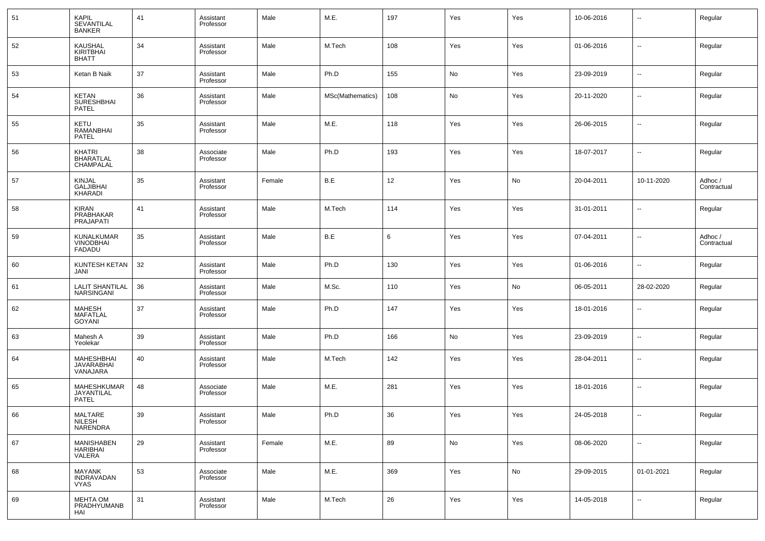| 51 | KAPIL<br><b>SEVANTILAL</b><br><b>BANKER</b>     | 41 | Assistant<br>Professor | Male   | M.E.             | 197 | Yes | Yes | 10-06-2016 | $\overline{\phantom{a}}$ | Regular                |
|----|-------------------------------------------------|----|------------------------|--------|------------------|-----|-----|-----|------------|--------------------------|------------------------|
| 52 | KAUSHAL<br>KIRITBHAI<br><b>BHATT</b>            | 34 | Assistant<br>Professor | Male   | M.Tech           | 108 | Yes | Yes | 01-06-2016 | $\sim$                   | Regular                |
| 53 | Ketan B Naik                                    | 37 | Assistant<br>Professor | Male   | Ph.D             | 155 | No  | Yes | 23-09-2019 | $\sim$                   | Regular                |
| 54 | KETAN<br><b>SURESHBHAI</b><br>PATEL             | 36 | Assistant<br>Professor | Male   | MSc(Mathematics) | 108 | No  | Yes | 20-11-2020 | $\overline{\phantom{a}}$ | Regular                |
| 55 | KETU<br><b>RAMANBHAI</b><br><b>PATEL</b>        | 35 | Assistant<br>Professor | Male   | M.E.             | 118 | Yes | Yes | 26-06-2015 | --                       | Regular                |
| 56 | KHATRI<br><b>BHARATLAL</b><br>CHAMPALAL         | 38 | Associate<br>Professor | Male   | Ph.D             | 193 | Yes | Yes | 18-07-2017 | $\overline{\phantom{a}}$ | Regular                |
| 57 | KINJAL<br><b>GALJIBHAI</b><br>KHARADI           | 35 | Assistant<br>Professor | Female | B.E              | 12  | Yes | No  | 20-04-2011 | 10-11-2020               | Adhoc /<br>Contractual |
| 58 | KIRAN<br>PRABHAKAR<br>PRAJAPATI                 | 41 | Assistant<br>Professor | Male   | M.Tech           | 114 | Yes | Yes | 31-01-2011 | $\overline{\phantom{a}}$ | Regular                |
| 59 | KUNALKUMAR<br><b>VINODBHAI</b><br><b>FADADU</b> | 35 | Assistant<br>Professor | Male   | B.E              | 6   | Yes | Yes | 07-04-2011 | --                       | Adhoc /<br>Contractual |
| 60 | KUNTESH KETAN<br>JANI                           | 32 | Assistant<br>Professor | Male   | Ph.D             | 130 | Yes | Yes | 01-06-2016 | $\overline{\phantom{a}}$ | Regular                |
| 61 | <b>LALIT SHANTILAL</b><br><b>NARSINGANI</b>     | 36 | Assistant<br>Professor | Male   | M.Sc.            | 110 | Yes | No  | 06-05-2011 | 28-02-2020               | Regular                |
| 62 | MAHESH<br><b>MAFATLAL</b><br><b>GOYANI</b>      | 37 | Assistant<br>Professor | Male   | Ph.D             | 147 | Yes | Yes | 18-01-2016 | $\sim$                   | Regular                |
| 63 | Mahesh A<br>Yeolekar                            | 39 | Assistant<br>Professor | Male   | Ph.D             | 166 | No  | Yes | 23-09-2019 | $\overline{\phantom{a}}$ | Regular                |
| 64 | MAHESHBHAI<br>JAVARABHAI<br>VANAJARA            | 40 | Assistant<br>Professor | Male   | M.Tech           | 142 | Yes | Yes | 28-04-2011 | $\overline{\phantom{a}}$ | Regular                |
| 65 | MAHESHKUMAR<br>JAYANTILAL<br>PATEL              | 48 | Associate<br>Professor | Male   | M.E.             | 281 | Yes | Yes | 18-01-2016 | $\overline{\phantom{a}}$ | Regular                |
| 66 | MALTARE<br>NILESH<br><b>NARENDRA</b>            | 39 | Assistant<br>Professor | Male   | Ph.D             | 36  | Yes | Yes | 24-05-2018 | $\overline{\phantom{a}}$ | Regular                |
| 67 | MANISHABEN<br>HARIBHAI<br>VALERA                | 29 | Assistant<br>Professor | Female | M.E.             | 89  | No  | Yes | 08-06-2020 | $\overline{\phantom{a}}$ | Regular                |
| 68 | MAYANK<br>INDRAVADAN<br><b>VYAS</b>             | 53 | Associate<br>Professor | Male   | M.E.             | 369 | Yes | No  | 29-09-2015 | 01-01-2021               | Regular                |
| 69 | MEHTA OM<br>PRADHYUMANB<br>HAI                  | 31 | Assistant<br>Professor | Male   | M.Tech           | 26  | Yes | Yes | 14-05-2018 | $\sim$                   | Regular                |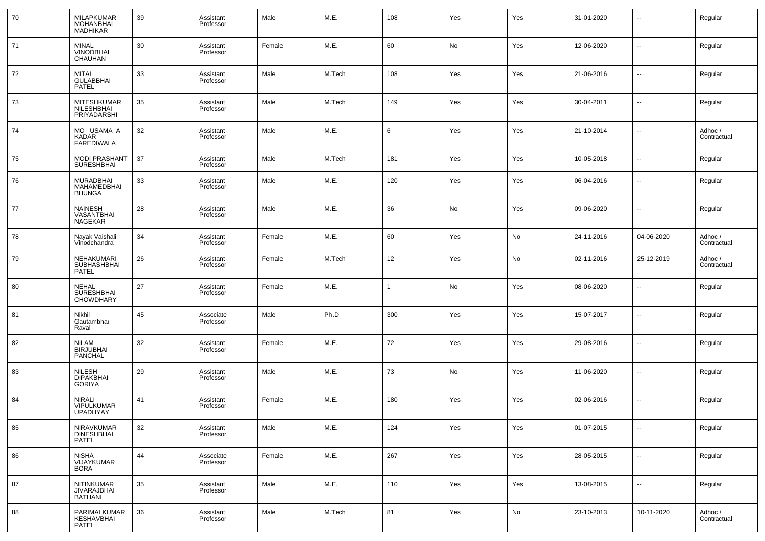| 70 | MILAPKUMAR<br><b>MOHANBHAI</b><br><b>MADHIKAR</b>  | 39 | Assistant<br>Professor | Male   | M.E.   | 108          | Yes | Yes | 31-01-2020 | $\overline{\phantom{a}}$ | Regular                |
|----|----------------------------------------------------|----|------------------------|--------|--------|--------------|-----|-----|------------|--------------------------|------------------------|
| 71 | <b>MINAL</b><br><b>VINODBHAI</b><br>CHAUHAN        | 30 | Assistant<br>Professor | Female | M.E.   | 60           | No  | Yes | 12-06-2020 | $\overline{\phantom{a}}$ | Regular                |
| 72 | <b>MITAL</b><br><b>GULABBHAI</b><br>PATEL          | 33 | Assistant<br>Professor | Male   | M.Tech | 108          | Yes | Yes | 21-06-2016 | --                       | Regular                |
| 73 | MITESHKUMAR<br>NILESHBHAI<br>PRIYADARSHI           | 35 | Assistant<br>Professor | Male   | M.Tech | 149          | Yes | Yes | 30-04-2011 | $\overline{\phantom{a}}$ | Regular                |
| 74 | MO USAMA A<br>KADAR<br><b>FAREDIWALA</b>           | 32 | Assistant<br>Professor | Male   | M.E.   | 6            | Yes | Yes | 21-10-2014 | $\overline{\phantom{a}}$ | Adhoc /<br>Contractual |
| 75 | <b>MODI PRASHANT</b><br><b>SURESHBHAI</b>          | 37 | Assistant<br>Professor | Male   | M.Tech | 181          | Yes | Yes | 10-05-2018 | ⊶.                       | Regular                |
| 76 | MURADBHAI<br>MAHAMEDBHAI<br><b>BHUNGA</b>          | 33 | Assistant<br>Professor | Male   | M.E.   | 120          | Yes | Yes | 06-04-2016 | ⊶.                       | Regular                |
| 77 | <b>NAINESH</b><br>VASANTBHAI<br>NAGEKAR            | 28 | Assistant<br>Professor | Male   | M.E.   | 36           | No  | Yes | 09-06-2020 | ⊷                        | Regular                |
| 78 | Nayak Vaishali<br>Vinodchandra                     | 34 | Assistant<br>Professor | Female | M.E.   | 60           | Yes | No  | 24-11-2016 | 04-06-2020               | Adhoc /<br>Contractual |
| 79 | NEHAKUMARI<br>SUBHASHBHAI<br><b>PATEL</b>          | 26 | Assistant<br>Professor | Female | M.Tech | 12           | Yes | No  | 02-11-2016 | 25-12-2019               | Adhoc /<br>Contractual |
| 80 | <b>NEHAL</b><br>SURESHBHAI<br><b>CHOWDHARY</b>     | 27 | Assistant<br>Professor | Female | M.E.   | $\mathbf{1}$ | No  | Yes | 08-06-2020 | н.                       | Regular                |
| 81 | Nikhil<br>Gautambhai<br>Raval                      | 45 | Associate<br>Professor | Male   | Ph.D   | 300          | Yes | Yes | 15-07-2017 | --                       | Regular                |
| 82 | <b>NILAM</b><br><b>BIRJUBHAI</b><br><b>PANCHAL</b> | 32 | Assistant<br>Professor | Female | M.E.   | 72           | Yes | Yes | 29-08-2016 | $\overline{\phantom{a}}$ | Regular                |
| 83 | <b>NILESH</b><br><b>DIPAKBHAI</b><br><b>GORIYA</b> | 29 | Assistant<br>Professor | Male   | M.E.   | 73           | No  | Yes | 11-06-2020 | н.                       | Regular                |
| 84 | <b>NIRALI</b><br>VIPULKUMAR<br><b>UPADHYAY</b>     | 41 | Assistant<br>Professor | Female | M.E.   | 180          | Yes | Yes | 02-06-2016 | -−                       | Regular                |
| 85 | NIRAVKUMAR<br><b>DINESHBHAI</b><br>PATEL           | 32 | Assistant<br>Professor | Male   | M.E.   | 124          | Yes | Yes | 01-07-2015 | ⊷                        | Regular                |
| 86 | <b>NISHA</b><br>VIJAYKUMAR<br><b>BORA</b>          | 44 | Associate<br>Professor | Female | M.E.   | 267          | Yes | Yes | 28-05-2015 | ⊷                        | Regular                |
| 87 | <b>NITINKUMAR</b><br>JIVARAJBHAI<br><b>BATHANI</b> | 35 | Assistant<br>Professor | Male   | M.E.   | 110          | Yes | Yes | 13-08-2015 | ⊷                        | Regular                |
| 88 | PARIMALKUMAR<br>KESHAVBHAI<br>PATEL                | 36 | Assistant<br>Professor | Male   | M.Tech | 81           | Yes | No  | 23-10-2013 | 10-11-2020               | Adhoc /<br>Contractual |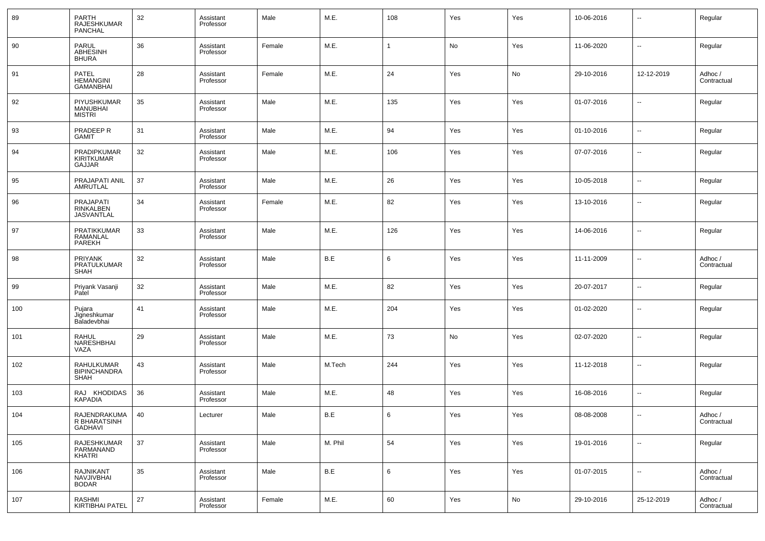| 89  | PARTH<br><b>RAJESHKUMAR</b><br>PANCHAL          | 32 | Assistant<br>Professor | Male   | M.E.    | 108          | Yes | Yes | 10-06-2016 | $\overline{\phantom{a}}$ | Regular                |
|-----|-------------------------------------------------|----|------------------------|--------|---------|--------------|-----|-----|------------|--------------------------|------------------------|
| 90  | <b>PARUL</b><br>ABHESINH<br><b>BHURA</b>        | 36 | Assistant<br>Professor | Female | M.E.    | $\mathbf{1}$ | No  | Yes | 11-06-2020 | $\overline{\phantom{a}}$ | Regular                |
| 91  | <b>PATEL</b><br>HEMANGINI<br>GAMANBHAI          | 28 | Assistant<br>Professor | Female | M.E.    | 24           | Yes | No  | 29-10-2016 | 12-12-2019               | Adhoc /<br>Contractual |
| 92  | PIYUSHKUMAR<br><b>MANUBHAI</b><br><b>MISTRI</b> | 35 | Assistant<br>Professor | Male   | M.E.    | 135          | Yes | Yes | 01-07-2016 | $\overline{\phantom{a}}$ | Regular                |
| 93  | PRADEEP R<br><b>GAMIT</b>                       | 31 | Assistant<br>Professor | Male   | M.E.    | 94           | Yes | Yes | 01-10-2016 | $\overline{\phantom{a}}$ | Regular                |
| 94  | PRADIPKUMAR<br><b>KIRITKUMAR</b><br>GAJJAR      | 32 | Assistant<br>Professor | Male   | M.E.    | 106          | Yes | Yes | 07-07-2016 | $\overline{\phantom{a}}$ | Regular                |
| 95  | PRAJAPATI ANIL<br>AMRUTLAL                      | 37 | Assistant<br>Professor | Male   | M.E.    | 26           | Yes | Yes | 10-05-2018 | $\overline{\phantom{a}}$ | Regular                |
| 96  | PRAJAPATI<br>RINKALBEN<br><b>JASVANTLAL</b>     | 34 | Assistant<br>Professor | Female | M.E.    | 82           | Yes | Yes | 13-10-2016 | $\overline{\phantom{a}}$ | Regular                |
| 97  | PRATIKKUMAR<br>RAMANLAL<br>PAREKH               | 33 | Assistant<br>Professor | Male   | M.E.    | 126          | Yes | Yes | 14-06-2016 | $\overline{\phantom{a}}$ | Regular                |
| 98  | <b>PRIYANK</b><br>PRATULKUMAR<br><b>SHAH</b>    | 32 | Assistant<br>Professor | Male   | B.E     | 6            | Yes | Yes | 11-11-2009 | $\overline{\phantom{a}}$ | Adhoc /<br>Contractual |
| 99  | Priyank Vasanji<br>Patel                        | 32 | Assistant<br>Professor | Male   | M.E.    | 82           | Yes | Yes | 20-07-2017 | $\overline{\phantom{a}}$ | Regular                |
| 100 | Pujara<br>Jigneshkumar<br>Baladevbhai           | 41 | Assistant<br>Professor | Male   | M.E.    | 204          | Yes | Yes | 01-02-2020 | $\overline{\phantom{a}}$ | Regular                |
| 101 | <b>RAHUL</b><br>NARESHBHAI<br>VAZA              | 29 | Assistant<br>Professor | Male   | M.E.    | 73           | No  | Yes | 02-07-2020 | $\overline{\phantom{a}}$ | Regular                |
| 102 | RAHULKUMAR<br><b>BIPINCHANDRA</b><br>SHAH       | 43 | Assistant<br>Professor | Male   | M.Tech  | 244          | Yes | Yes | 11-12-2018 | $\overline{\phantom{a}}$ | Regular                |
| 103 | RAJ KHODIDAS<br><b>KAPADIA</b>                  | 36 | Assistant<br>Professor | Male   | M.E.    | 48           | Yes | Yes | 16-08-2016 | $\overline{\phantom{a}}$ | Regular                |
| 104 | RAJENDRAKUMA<br>R BHARATSINH<br><b>GADHAVI</b>  | 40 | Lecturer               | Male   | B.E     | 6            | Yes | Yes | 08-08-2008 | $\overline{\phantom{a}}$ | Adhoc /<br>Contractual |
| 105 | RAJESHKUMAR<br>PARMANAND<br>KHATRI              | 37 | Assistant<br>Professor | Male   | M. Phil | 54           | Yes | Yes | 19-01-2016 | ۰.                       | Regular                |
| 106 | RAJNIKANT<br>NAVJIVBHAI<br><b>BODAR</b>         | 35 | Assistant<br>Professor | Male   | B.E     | 6            | Yes | Yes | 01-07-2015 | $\overline{\phantom{a}}$ | Adhoc /<br>Contractual |
| 107 | RASHMI<br><b>KIRTIBHAI PATEL</b>                | 27 | Assistant<br>Professor | Female | M.E.    | 60           | Yes | No  | 29-10-2016 | 25-12-2019               | Adhoc /<br>Contractual |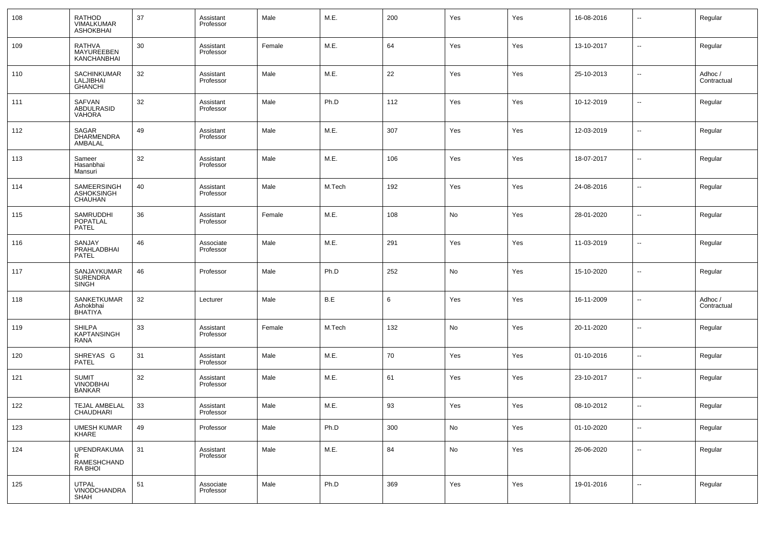| 108 | RATHOD<br>VIMALKUMAR<br><b>ASHOKBHAI</b>          | 37 | Assistant<br>Professor | Male   | M.E.   | 200 | Yes | Yes | 16-08-2016 | --                       | Regular                |
|-----|---------------------------------------------------|----|------------------------|--------|--------|-----|-----|-----|------------|--------------------------|------------------------|
| 109 | RATHVA<br>MAYUREEBEN<br>KANCHANBHAI               | 30 | Assistant<br>Professor | Female | M.E.   | 64  | Yes | Yes | 13-10-2017 | $\overline{\phantom{a}}$ | Regular                |
| 110 | SACHINKUMAR<br>LALJIBHAI<br><b>GHANCHI</b>        | 32 | Assistant<br>Professor | Male   | M.E.   | 22  | Yes | Yes | 25-10-2013 | ш,                       | Adhoc /<br>Contractual |
| 111 | <b>SAFVAN</b><br>ABDULRASID<br><b>VAHORA</b>      | 32 | Assistant<br>Professor | Male   | Ph.D   | 112 | Yes | Yes | 10-12-2019 | --                       | Regular                |
| 112 | SAGAR<br><b>DHARMENDRA</b><br>AMBALAL             | 49 | Assistant<br>Professor | Male   | M.E.   | 307 | Yes | Yes | 12-03-2019 | --                       | Regular                |
| 113 | Sameer<br>Hasanbhai<br>Mansuri                    | 32 | Assistant<br>Professor | Male   | M.E.   | 106 | Yes | Yes | 18-07-2017 | $\sim$                   | Regular                |
| 114 | SAMEERSINGH<br>ASHOKSINGH<br>CHAUHAN              | 40 | Assistant<br>Professor | Male   | M.Tech | 192 | Yes | Yes | 24-08-2016 | $\sim$                   | Regular                |
| 115 | SAMRUDDHI<br><b>POPATLAL</b><br><b>PATEL</b>      | 36 | Assistant<br>Professor | Female | M.E.   | 108 | No  | Yes | 28-01-2020 | $\overline{\phantom{a}}$ | Regular                |
| 116 | SANJAY<br>PRAHLADBHAI<br><b>PATEL</b>             | 46 | Associate<br>Professor | Male   | M.E.   | 291 | Yes | Yes | 11-03-2019 | $\overline{\phantom{a}}$ | Regular                |
| 117 | SANJAYKUMAR<br><b>SURENDRA</b><br>SINGH           | 46 | Professor              | Male   | Ph.D   | 252 | No  | Yes | 15-10-2020 | --                       | Regular                |
| 118 | SANKETKUMAR<br>Ashokbhai<br><b>BHATIYA</b>        | 32 | Lecturer               | Male   | B.E    | 6   | Yes | Yes | 16-11-2009 | $\sim$                   | Adhoc /<br>Contractual |
| 119 | <b>SHILPA</b><br>KAPTANSINGH<br>RANA              | 33 | Assistant<br>Professor | Female | M.Tech | 132 | No  | Yes | 20-11-2020 | $\sim$                   | Regular                |
| 120 | SHREYAS G<br><b>PATEL</b>                         | 31 | Assistant<br>Professor | Male   | M.E.   | 70  | Yes | Yes | 01-10-2016 | $\sim$                   | Regular                |
| 121 | <b>SUMIT</b><br><b>VINODBHAI</b><br><b>BANKAR</b> | 32 | Assistant<br>Professor | Male   | M.E.   | 61  | Yes | Yes | 23-10-2017 | --                       | Regular                |
| 122 | TEJAL AMBELAL<br>CHAUDHARI                        | 33 | Assistant<br>Professor | Male   | M.E.   | 93  | Yes | Yes | 08-10-2012 | $\sim$                   | Regular                |
| 123 | UMESH KUMAR<br>KHARE                              | 49 | Professor              | Male   | Ph.D   | 300 | No  | Yes | 01-10-2020 | $\sim$                   | Regular                |
| 124 | UPENDRAKUMA<br>R<br>RAMESHCHAND<br><b>RA BHOI</b> | 31 | Assistant<br>Professor | Male   | M.E.   | 84  | No  | Yes | 26-06-2020 | $\overline{\phantom{a}}$ | Regular                |
| 125 | <b>UTPAL</b><br>VINODCHANDRA<br><b>SHAH</b>       | 51 | Associate<br>Professor | Male   | Ph.D   | 369 | Yes | Yes | 19-01-2016 | $\sim$                   | Regular                |